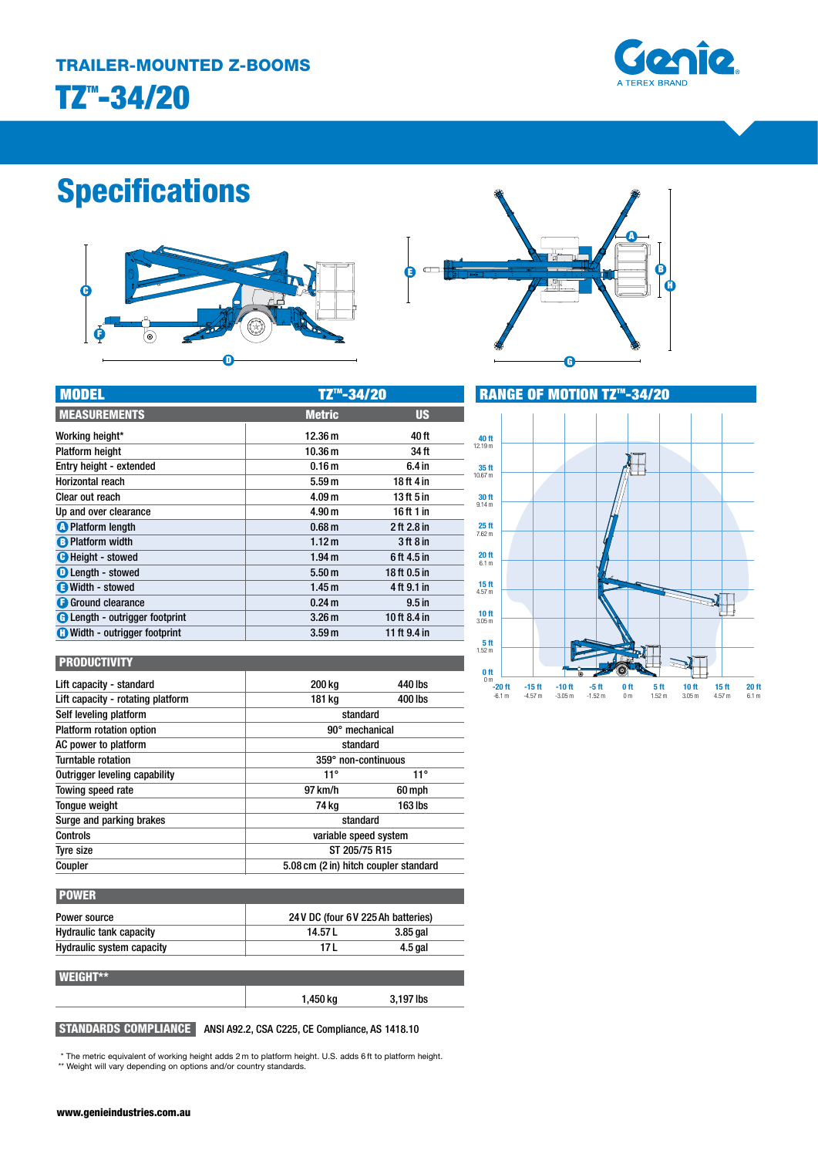

# **Specifications**





| <b>MODEL</b>                          | TZ™-34/20         |                   |  |
|---------------------------------------|-------------------|-------------------|--|
| <b>MEASUREMENTS</b>                   | <b>Metric</b>     | <b>US</b>         |  |
| Working height*                       | 12.36 m           | 40 ft             |  |
| <b>Platform height</b>                | 10.36 m           | 34 ft             |  |
| Entry height - extended               | 0.16 <sub>m</sub> | 6.4 in            |  |
| Horizontal reach                      | 5.59 <sub>m</sub> | 18 ft 4 in        |  |
| Clear out reach                       | 4.09 <sub>m</sub> | 13 ft 5 in        |  |
| Up and over clearance                 | 4.90 <sub>m</sub> | 16 ft 1 in        |  |
| <b>O</b> Platform length              | 0.68 <sub>m</sub> | 2 ft 2.8 in       |  |
| <b>B</b> Platform width               | 1.12 m            | $3$ ft $8$ in     |  |
| <b>B</b> Height - stowed              | 1.94 <sub>m</sub> | 6 ft 4.5 in       |  |
| <b>O</b> Length - stowed              | 5.50 m            | 18 ft 0.5 in      |  |
| Width - stowed                        | 1.45 <sub>m</sub> | 4 ft 9.1 in       |  |
| <b>B</b> Ground clearance             | 0.24 m            | 9.5 <sub>in</sub> |  |
| <b>C</b> Length - outrigger footprint | 3.26 <sub>m</sub> | 10 ft 8.4 in      |  |
| <b>C</b> Width - outrigger footprint  | 3.59 <sub>m</sub> | 11 ft 9.4 in      |  |



### **PRODUCTIVITY**

| Lift capacity - standard          | 200 ka                                | 440 lbs      |
|-----------------------------------|---------------------------------------|--------------|
| Lift capacity - rotating platform | 181 kg                                | 400 lbs      |
| Self leveling platform            | standard                              |              |
| Platform rotation option          | 90° mechanical                        |              |
| AC power to platform              | standard                              |              |
| Turntable rotation                | 359° non-continuous                   |              |
| Outrigger leveling capability     | $11^{\circ}$                          | $11^{\circ}$ |
| Towing speed rate                 | 97 km/h                               | 60 mph       |
| Tonque weight                     | 74 kg                                 | 163 lbs      |
| Surge and parking brakes          | standard                              |              |
| <b>Controls</b>                   | variable speed system                 |              |
| Tyre size                         | ST 205/75 R15                         |              |
| Coupler                           | 5.08 cm (2 in) hitch coupler standard |              |

| <b>POWER</b>                     |                                     |            |
|----------------------------------|-------------------------------------|------------|
| Power source                     | 24 V DC (four 6 V 225 Ah batteries) |            |
| <b>Hydraulic tank capacity</b>   | 14.57 L                             | $3.85$ gal |
| <b>Hydraulic system capacity</b> | 17 L                                | 4.5 gal    |
| <b>WEIGHT**</b>                  |                                     |            |
|                                  | 1,450 kg                            | 3,197 lbs  |

# STANDARDS COMPLIANCE ANSI A92.2, CSA C225, CE Compliance, AS 1418.10

\* The metric equivalent of working height adds 2 m to platform height. U.S. adds 6 ft to platform height. \*\* Weight will vary depending on options and/or country standards.